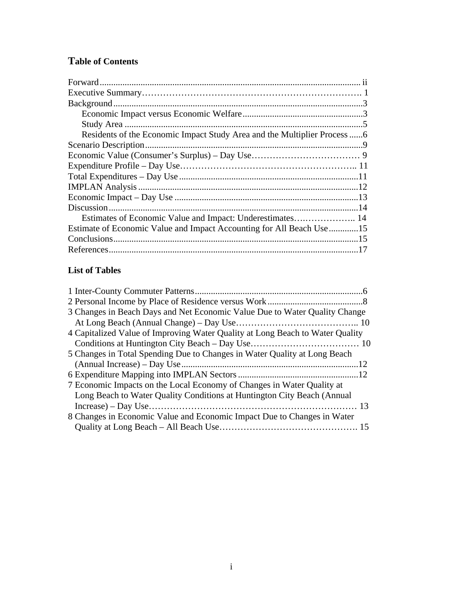# **Table of Contents**

| Residents of the Economic Impact Study Area and the Multiplier Process  6 |  |
|---------------------------------------------------------------------------|--|
|                                                                           |  |
|                                                                           |  |
|                                                                           |  |
|                                                                           |  |
|                                                                           |  |
|                                                                           |  |
|                                                                           |  |
|                                                                           |  |
| Estimate of Economic Value and Impact Accounting for All Beach Use 15     |  |
|                                                                           |  |
|                                                                           |  |

## **List of Tables**

| 3 Changes in Beach Days and Net Economic Value Due to Water Quality Change    |  |
|-------------------------------------------------------------------------------|--|
|                                                                               |  |
| 4 Capitalized Value of Improving Water Quality at Long Beach to Water Quality |  |
|                                                                               |  |
| 5 Changes in Total Spending Due to Changes in Water Quality at Long Beach     |  |
|                                                                               |  |
|                                                                               |  |
| 7 Economic Impacts on the Local Economy of Changes in Water Quality at        |  |
| Long Beach to Water Quality Conditions at Huntington City Beach (Annual       |  |
|                                                                               |  |
| 8 Changes in Economic Value and Economic Impact Due to Changes in Water       |  |
|                                                                               |  |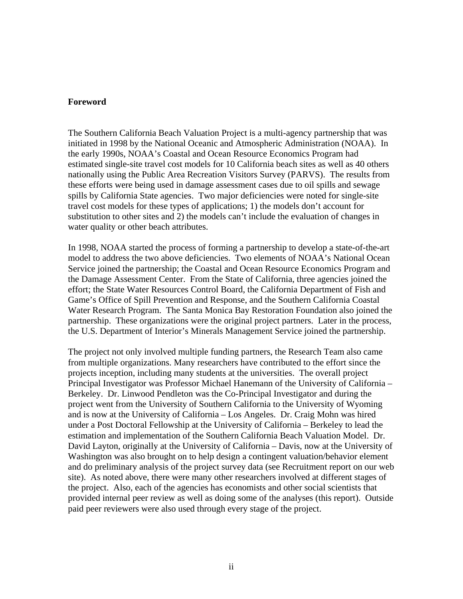#### **Foreword**

The Southern California Beach Valuation Project is a multi-agency partnership that was initiated in 1998 by the National Oceanic and Atmospheric Administration (NOAA). In the early 1990s, NOAA's Coastal and Ocean Resource Economics Program had estimated single-site travel cost models for 10 California beach sites as well as 40 others nationally using the Public Area Recreation Visitors Survey (PARVS). The results from these efforts were being used in damage assessment cases due to oil spills and sewage spills by California State agencies. Two major deficiencies were noted for single-site travel cost models for these types of applications; 1) the models don't account for substitution to other sites and 2) the models can't include the evaluation of changes in water quality or other beach attributes.

In 1998, NOAA started the process of forming a partnership to develop a state-of-the-art model to address the two above deficiencies. Two elements of NOAA's National Ocean Service joined the partnership; the Coastal and Ocean Resource Economics Program and the Damage Assessment Center. From the State of California, three agencies joined the effort; the State Water Resources Control Board, the California Department of Fish and Game's Office of Spill Prevention and Response, and the Southern California Coastal Water Research Program. The Santa Monica Bay Restoration Foundation also joined the partnership. These organizations were the original project partners. Later in the process, the U.S. Department of Interior's Minerals Management Service joined the partnership.

The project not only involved multiple funding partners, the Research Team also came from multiple organizations. Many researchers have contributed to the effort since the projects inception, including many students at the universities. The overall project Principal Investigator was Professor Michael Hanemann of the University of California – Berkeley. Dr. Linwood Pendleton was the Co-Principal Investigator and during the project went from the University of Southern California to the University of Wyoming and is now at the University of California – Los Angeles. Dr. Craig Mohn was hired under a Post Doctoral Fellowship at the University of California – Berkeley to lead the estimation and implementation of the Southern California Beach Valuation Model. Dr. David Layton, originally at the University of California – Davis, now at the University of Washington was also brought on to help design a contingent valuation/behavior element and do preliminary analysis of the project survey data (see Recruitment report on our web site). As noted above, there were many other researchers involved at different stages of the project. Also, each of the agencies has economists and other social scientists that provided internal peer review as well as doing some of the analyses (this report). Outside paid peer reviewers were also used through every stage of the project.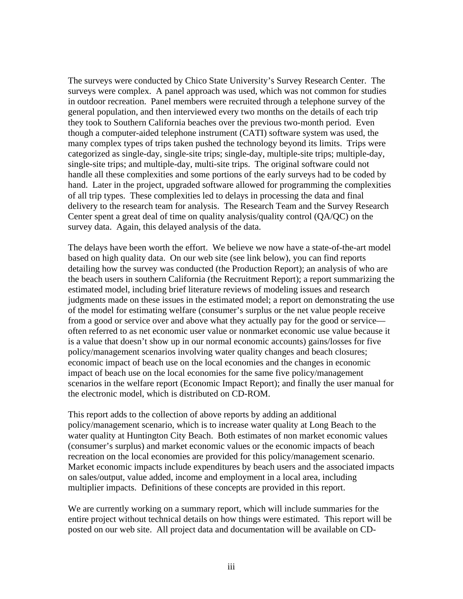The surveys were conducted by Chico State University's Survey Research Center. The surveys were complex. A panel approach was used, which was not common for studies in outdoor recreation. Panel members were recruited through a telephone survey of the general population, and then interviewed every two months on the details of each trip they took to Southern California beaches over the previous two-month period. Even though a computer-aided telephone instrument (CATI) software system was used, the many complex types of trips taken pushed the technology beyond its limits. Trips were categorized as single-day, single-site trips; single-day, multiple-site trips; multiple-day, single-site trips; and multiple-day, multi-site trips. The original software could not handle all these complexities and some portions of the early surveys had to be coded by hand. Later in the project, upgraded software allowed for programming the complexities of all trip types. These complexities led to delays in processing the data and final delivery to the research team for analysis. The Research Team and the Survey Research Center spent a great deal of time on quality analysis/quality control (QA/QC) on the survey data. Again, this delayed analysis of the data.

The delays have been worth the effort. We believe we now have a state-of-the-art model based on high quality data. On our web site (see link below), you can find reports detailing how the survey was conducted (the Production Report); an analysis of who are the beach users in southern California (the Recruitment Report); a report summarizing the estimated model, including brief literature reviews of modeling issues and research judgments made on these issues in the estimated model; a report on demonstrating the use of the model for estimating welfare (consumer's surplus or the net value people receive from a good or service over and above what they actually pay for the good or service often referred to as net economic user value or nonmarket economic use value because it is a value that doesn't show up in our normal economic accounts) gains/losses for five policy/management scenarios involving water quality changes and beach closures; economic impact of beach use on the local economies and the changes in economic impact of beach use on the local economies for the same five policy/management scenarios in the welfare report (Economic Impact Report); and finally the user manual for the electronic model, which is distributed on CD-ROM.

This report adds to the collection of above reports by adding an additional policy/management scenario, which is to increase water quality at Long Beach to the water quality at Huntington City Beach. Both estimates of non market economic values (consumer's surplus) and market economic values or the economic impacts of beach recreation on the local economies are provided for this policy/management scenario. Market economic impacts include expenditures by beach users and the associated impacts on sales/output, value added, income and employment in a local area, including multiplier impacts. Definitions of these concepts are provided in this report.

We are currently working on a summary report, which will include summaries for the entire project without technical details on how things were estimated. This report will be posted on our web site. All project data and documentation will be available on CD-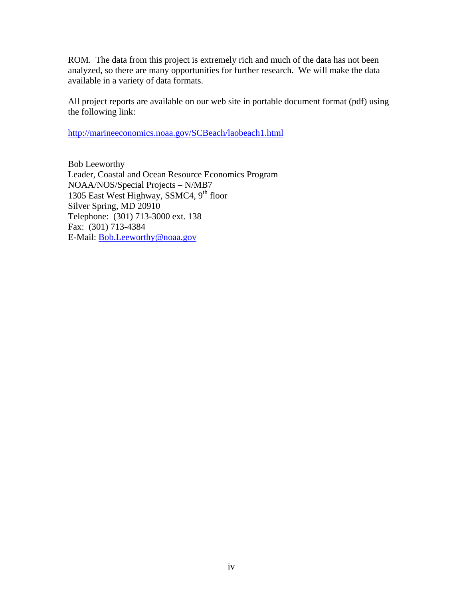ROM. The data from this project is extremely rich and much of the data has not been analyzed, so there are many opportunities for further research. We will make the data available in a variety of data formats.

All project reports are available on our web site in portable document format (pdf) using the following link:

<http://marineeconomics.noaa.gov/SCBeach/laobeach1.html>

Bob Leeworthy Leader, Coastal and Ocean Resource Economics Program NOAA/NOS/Special Projects – N/MB7 1305 East West Highway, SSMC4, 9<sup>th</sup> floor Silver Spring, MD 20910 Telephone: (301) 713-3000 ext. 138 Fax: (301) 713-4384 E-Mail: [Bob.Leeworthy@noaa.gov](mailto:Bob.Leeworthy@noaa.gov)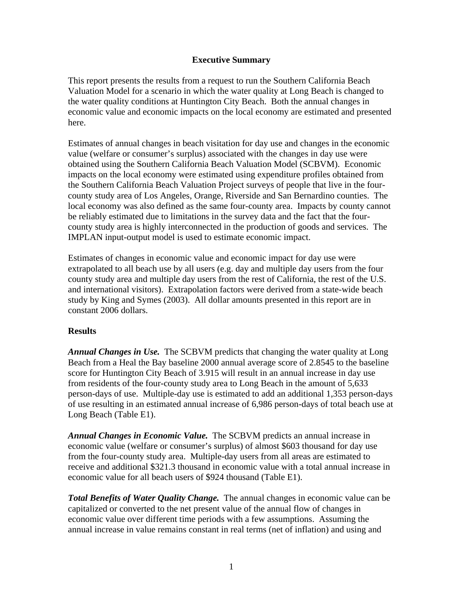## **Executive Summary**

This report presents the results from a request to run the Southern California Beach Valuation Model for a scenario in which the water quality at Long Beach is changed to the water quality conditions at Huntington City Beach. Both the annual changes in economic value and economic impacts on the local economy are estimated and presented here.

Estimates of annual changes in beach visitation for day use and changes in the economic value (welfare or consumer's surplus) associated with the changes in day use were obtained using the Southern California Beach Valuation Model (SCBVM). Economic impacts on the local economy were estimated using expenditure profiles obtained from the Southern California Beach Valuation Project surveys of people that live in the fourcounty study area of Los Angeles, Orange, Riverside and San Bernardino counties. The local economy was also defined as the same four-county area. Impacts by county cannot be reliably estimated due to limitations in the survey data and the fact that the fourcounty study area is highly interconnected in the production of goods and services. The IMPLAN input-output model is used to estimate economic impact.

Estimates of changes in economic value and economic impact for day use were extrapolated to all beach use by all users (e.g. day and multiple day users from the four county study area and multiple day users from the rest of California, the rest of the U.S. and international visitors). Extrapolation factors were derived from a state-wide beach study by King and Symes (2003). All dollar amounts presented in this report are in constant 2006 dollars.

## **Results**

*Annual Changes in Use.* The SCBVM predicts that changing the water quality at Long Beach from a Heal the Bay baseline 2000 annual average score of 2.8545 to the baseline score for Huntington City Beach of 3.915 will result in an annual increase in day use from residents of the four-county study area to Long Beach in the amount of 5,633 person-days of use. Multiple-day use is estimated to add an additional 1,353 person-days of use resulting in an estimated annual increase of 6,986 person-days of total beach use at Long Beach (Table E1).

*Annual Changes in Economic Value.* The SCBVM predicts an annual increase in economic value (welfare or consumer's surplus) of almost \$603 thousand for day use from the four-county study area. Multiple-day users from all areas are estimated to receive and additional \$321.3 thousand in economic value with a total annual increase in economic value for all beach users of \$924 thousand (Table E1).

*Total Benefits of Water Quality Change.* The annual changes in economic value can be capitalized or converted to the net present value of the annual flow of changes in economic value over different time periods with a few assumptions. Assuming the annual increase in value remains constant in real terms (net of inflation) and using and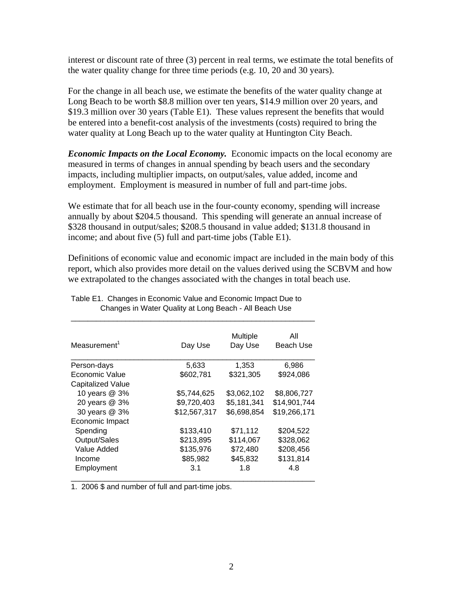interest or discount rate of three (3) percent in real terms, we estimate the total benefits of the water quality change for three time periods (e.g. 10, 20 and 30 years).

For the change in all beach use, we estimate the benefits of the water quality change at Long Beach to be worth \$8.8 million over ten years, \$14.9 million over 20 years, and \$19.3 million over 30 years (Table E1). These values represent the benefits that would be entered into a benefit-cost analysis of the investments (costs) required to bring the water quality at Long Beach up to the water quality at Huntington City Beach.

*Economic Impacts on the Local Economy.* Economic impacts on the local economy are measured in terms of changes in annual spending by beach users and the secondary impacts, including multiplier impacts, on output/sales, value added, income and employment. Employment is measured in number of full and part-time jobs.

We estimate that for all beach use in the four-county economy, spending will increase annually by about \$204.5 thousand. This spending will generate an annual increase of \$328 thousand in output/sales; \$208.5 thousand in value added; \$131.8 thousand in income; and about five (5) full and part-time jobs (Table E1).

Definitions of economic value and economic impact are included in the main body of this report, which also provides more detail on the values derived using the SCBVM and how we extrapolated to the changes associated with the changes in total beach use.

| Measurement <sup>1</sup> | Day Use      | Multiple<br>Day Use | All<br><b>Beach Use</b> |
|--------------------------|--------------|---------------------|-------------------------|
| Person-days              | 5,633        | 1,353               | 6,986                   |
| Economic Value           | \$602,781    | \$321,305           | \$924,086               |
| Capitalized Value        |              |                     |                         |
| 10 years @ 3%            | \$5,744,625  | \$3,062,102         | \$8,806,727             |
| 20 years @ 3%            | \$9,720,403  | \$5,181,341         | \$14,901,744            |
| 30 years @ 3%            | \$12,567,317 | \$6,698,854         | \$19,266,171            |
| Economic Impact          |              |                     |                         |
| Spending                 | \$133,410    | \$71,112            | \$204,522               |
| Output/Sales             | \$213,895    | \$114,067           | \$328,062               |
| Value Added              | \$135,976    | \$72,480            | \$208,456               |
| Income                   | \$85,982     | \$45,832            | \$131,814               |
| Employment               | 3.1          | 1.8                 | 4.8                     |

Table E1. Changes in Economic Value and Economic Impact Due to Changes in Water Quality at Long Beach - All Beach Use

\_\_\_\_\_\_\_\_\_\_\_\_\_\_\_\_\_\_\_\_\_\_\_\_\_\_\_\_\_\_\_\_\_\_\_\_\_\_\_\_\_\_\_\_\_\_\_\_\_\_\_\_\_\_\_\_\_\_

1. 2006 \$ and number of full and part-time jobs.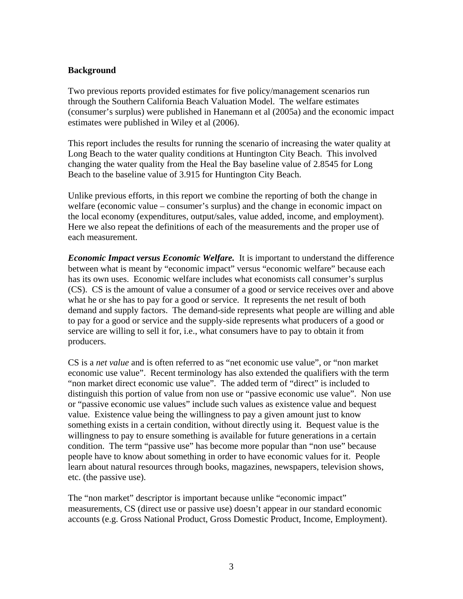## **Background**

Two previous reports provided estimates for five policy/management scenarios run through the Southern California Beach Valuation Model. The welfare estimates (consumer's surplus) were published in Hanemann et al (2005a) and the economic impact estimates were published in Wiley et al (2006).

This report includes the results for running the scenario of increasing the water quality at Long Beach to the water quality conditions at Huntington City Beach. This involved changing the water quality from the Heal the Bay baseline value of 2.8545 for Long Beach to the baseline value of 3.915 for Huntington City Beach.

Unlike previous efforts, in this report we combine the reporting of both the change in welfare (economic value – consumer's surplus) and the change in economic impact on the local economy (expenditures, output/sales, value added, income, and employment). Here we also repeat the definitions of each of the measurements and the proper use of each measurement.

*Economic Impact versus Economic Welfare.* It is important to understand the difference between what is meant by "economic impact" versus "economic welfare" because each has its own uses. Economic welfare includes what economists call consumer's surplus (CS). CS is the amount of value a consumer of a good or service receives over and above what he or she has to pay for a good or service. It represents the net result of both demand and supply factors. The demand-side represents what people are willing and able to pay for a good or service and the supply-side represents what producers of a good or service are willing to sell it for, i.e., what consumers have to pay to obtain it from producers.

CS is a *net value* and is often referred to as "net economic use value", or "non market economic use value". Recent terminology has also extended the qualifiers with the term "non market direct economic use value". The added term of "direct" is included to distinguish this portion of value from non use or "passive economic use value". Non use or "passive economic use values" include such values as existence value and bequest value. Existence value being the willingness to pay a given amount just to know something exists in a certain condition, without directly using it. Bequest value is the willingness to pay to ensure something is available for future generations in a certain condition. The term "passive use" has become more popular than "non use" because people have to know about something in order to have economic values for it. People learn about natural resources through books, magazines, newspapers, television shows, etc. (the passive use).

The "non market" descriptor is important because unlike "economic impact" measurements, CS (direct use or passive use) doesn't appear in our standard economic accounts (e.g. Gross National Product, Gross Domestic Product, Income, Employment).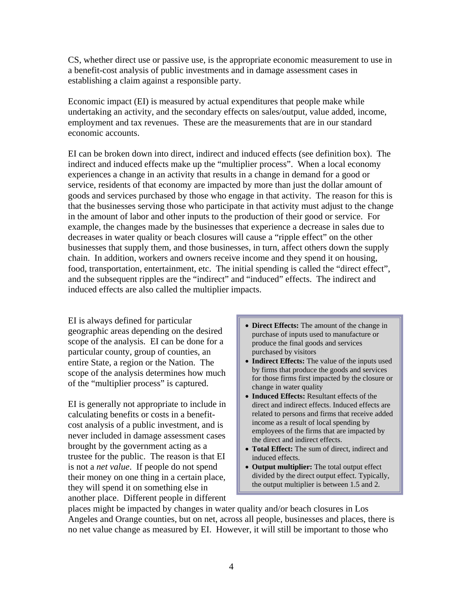CS, whether direct use or passive use, is the appropriate economic measurement to use in a benefit-cost analysis of public investments and in damage assessment cases in establishing a claim against a responsible party.

Economic impact (EI) is measured by actual expenditures that people make while undertaking an activity, and the secondary effects on sales/output, value added, income, employment and tax revenues. These are the measurements that are in our standard economic accounts.

EI can be broken down into direct, indirect and induced effects (see definition box). The indirect and induced effects make up the "multiplier process". When a local economy experiences a change in an activity that results in a change in demand for a good or service, residents of that economy are impacted by more than just the dollar amount of goods and services purchased by those who engage in that activity. The reason for this is that the businesses serving those who participate in that activity must adjust to the change in the amount of labor and other inputs to the production of their good or service. For example, the changes made by the businesses that experience a decrease in sales due to decreases in water quality or beach closures will cause a "ripple effect" on the other businesses that supply them, and those businesses, in turn, affect others down the supply chain. In addition, workers and owners receive income and they spend it on housing, food, transportation, entertainment, etc. The initial spending is called the "direct effect", and the subsequent ripples are the "indirect" and "induced" effects. The indirect and induced effects are also called the multiplier impacts.

EI is always defined for particular geographic areas depending on the desired scope of the analysis. EI can be done for a particular county, group of counties, an entire State, a region or the Nation. The scope of the analysis determines how much of the "multiplier process" is captured.

EI is generally not appropriate to include in calculating benefits or costs in a benefitcost analysis of a public investment, and is never included in damage assessment cases brought by the government acting as a trustee for the public. The reason is that EI is not a *net value*. If people do not spend their money on one thing in a certain place, they will spend it on something else in another place. Different people in different

- **Direct Effects:** The amount of the change in purchase of inputs used to manufacture or produce the final goods and services purchased by visitors
- **Indirect Effects:** The value of the inputs used by firms that produce the goods and services for those firms first impacted by the closure or change in water quality
- **Induced Effects:** Resultant effects of the direct and indirect effects. Induced effects are related to persons and firms that receive added income as a result of local spending by employees of the firms that are impacted by the direct and indirect effects.
- **Total Effect:** The sum of direct, indirect and induced effects.
- **Output multiplier:** The total output effect divided by the direct output effect. Typically, the output multiplier is between 1.5 and 2.

places might be impacted by changes in water quality and/or beach closures in Los Angeles and Orange counties, but on net, across all people, businesses and places, there is no net value change as measured by EI. However, it will still be important to those who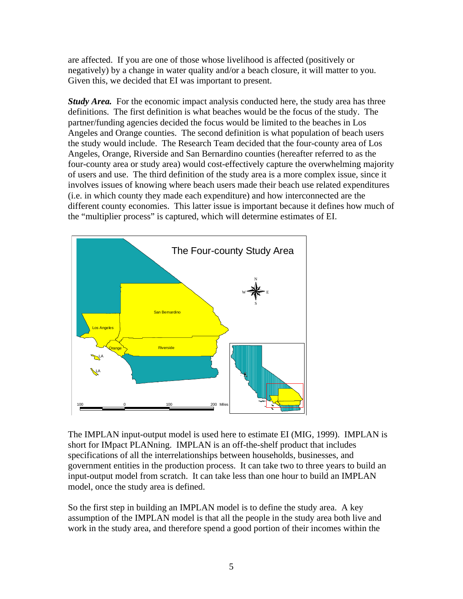are affected. If you are one of those whose livelihood is affected (positively or negatively) by a change in water quality and/or a beach closure, it will matter to you. Given this, we decided that EI was important to present.

*Study Area.* For the economic impact analysis conducted here, the study area has three definitions. The first definition is what beaches would be the focus of the study. The partner/funding agencies decided the focus would be limited to the beaches in Los Angeles and Orange counties. The second definition is what population of beach users the study would include. The Research Team decided that the four-county area of Los Angeles, Orange, Riverside and San Bernardino counties (hereafter referred to as the four-county area or study area) would cost-effectively capture the overwhelming majority of users and use. The third definition of the study area is a more complex issue, since it involves issues of knowing where beach users made their beach use related expenditures (i.e. in which county they made each expenditure) and how interconnected are the different county economies. This latter issue is important because it defines how much of the "multiplier process" is captured, which will determine estimates of EI.



The IMPLAN input-output model is used here to estimate EI (MIG, 1999). IMPLAN is short for IMpact PLANning. IMPLAN is an off-the-shelf product that includes specifications of all the interrelationships between households, businesses, and government entities in the production process. It can take two to three years to build an input-output model from scratch. It can take less than one hour to build an IMPLAN model, once the study area is defined.

So the first step in building an IMPLAN model is to define the study area. A key assumption of the IMPLAN model is that all the people in the study area both live and work in the study area, and therefore spend a good portion of their incomes within the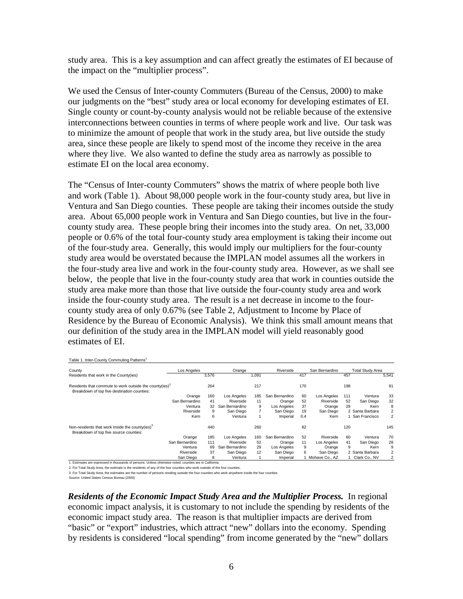study area. This is a key assumption and can affect greatly the estimates of EI because of the impact on the "multiplier process".

We used the Census of Inter-county Commuters (Bureau of the Census, 2000) to make our judgments on the "best" study area or local economy for developing estimates of EI. Single county or count-by-county analysis would not be reliable because of the extensive interconnections between counties in terms of where people work and live. Our task was to minimize the amount of people that work in the study area, but live outside the study area, since these people are likely to spend most of the income they receive in the area where they live. We also wanted to define the study area as narrowly as possible to estimate EI on the local area economy.

The "Census of Inter-county Commuters" shows the matrix of where people both live and work (Table 1). About 98,000 people work in the four-county study area, but live in Ventura and San Diego counties. These people are taking their incomes outside the study area. About 65,000 people work in Ventura and San Diego counties, but live in the fourcounty study area. These people bring their incomes into the study area. On net, 33,000 people or 0.6% of the total four-county study area employment is taking their income out of the four-study area. Generally, this would imply our multipliers for the four-county study area would be overstated because the IMPLAN model assumes all the workers in the four-study area live and work in the four-county study area. However, as we shall see below, the people that live in the four-county study area that work in counties outside the study area make more than those that live outside the four-county study area and work inside the four-county study area. The result is a net decrease in income to the fourcounty study area of only 0.67% (see Table 2, Adjustment to Income by Place of Residence by the Bureau of Economic Analysis). We think this small amount means that our definition of the study area in the IMPLAN model will yield reasonably good estimates of EI.

| County                                                                                                             | Los Angeles    |       | Orange         |                | Riverside      |     | San Bernardino |     | <b>Total Study Area</b> |                |
|--------------------------------------------------------------------------------------------------------------------|----------------|-------|----------------|----------------|----------------|-----|----------------|-----|-------------------------|----------------|
| Residents that work in the County(ies)                                                                             |                | 3,576 |                | 1,091          |                | 417 |                | 457 |                         | 5.541          |
| Residents that commute to work outside the county(ies) <sup>2</sup><br>Breakdown of top five destination counties: |                | 264   |                | 217            |                | 170 |                | 198 |                         | 91             |
|                                                                                                                    | Orange         | 160   | Los Angeles    | 185            | San Bernardino | 60  | Los Angeles    | 111 | Ventura                 | 33             |
|                                                                                                                    | San Bernardino | 41    | Riverside      | 11             | Orange         | 52  | Riverside      | 52  | San Diego               | 32             |
|                                                                                                                    | Ventura        | 32    | San Bernardino | 9              | Los Angeles    | 37  | Orange         | 29  | Kern                    | 8              |
|                                                                                                                    | Riverside      | 9     | San Diego      | $\overline{7}$ | San Diego      | 19  | San Diego      |     | 2 Santa Barbara         | 2              |
|                                                                                                                    | Kern           | 6     | Ventura        |                | Imperial       | 0.4 | Kern           |     | San Francisco           | $\overline{2}$ |
| Non-residents that work inside the county(ies) <sup>3</sup><br>Breakdown of top five source counties:              |                | 440   |                | 260            |                | 82  |                | 120 |                         | 145            |
|                                                                                                                    | Orange         | 185   | Los Angeles    | 160            | San Bernardino | 52  | Riverside      | 60  | Ventura                 | 70             |
|                                                                                                                    | San Bernardino | 111   | Riverside      | 52             | Orange         | 11  | Los Angeles    | 41  | San Diego               | 28             |
|                                                                                                                    | Ventura        | 69    | San Bernardino | 29             | Los Angeles    | 9   | Orange         | 9   | Kern                    | 9              |
|                                                                                                                    | Riverside      | 37    | San Diego      | 12             | San Diego      | 6   | San Diego      |     | 2 Santa Barbara         | 2              |
|                                                                                                                    | San Diego      | 8     | Ventura        |                | Imperial       |     | Mohave Co., AZ |     | Clark Co., NV           | $\overline{2}$ |

Table 1. Inter-County Commuting Patterns<sup>1</sup>

1. Estimates are in California are expressed in thousands of persons. Unless ohterwise noted, counties are in California.

2. For Total Study Area, the estimate is the residents of any of the four counties who work outside of the four counties. 3. For Total Study Area, the estimates are the number of persons residing outside the four counties who work anywhere inside the four counties

Source: United States Census Bureau (2000)

*Residents of the Economic Impact Study Area and the Multiplier Process.* In regional economic impact analysis, it is customary to not include the spending by residents of the economic impact study area. The reason is that multiplier impacts are derived from "basic" or "export" industries, which attract "new" dollars into the economy. Spending by residents is considered "local spending" from income generated by the "new" dollars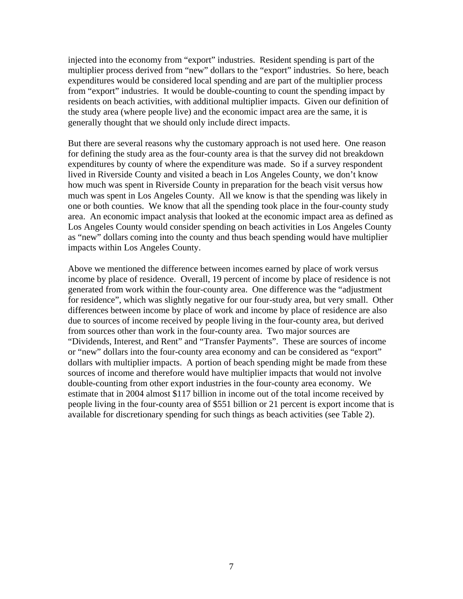injected into the economy from "export" industries. Resident spending is part of the multiplier process derived from "new" dollars to the "export" industries. So here, beach expenditures would be considered local spending and are part of the multiplier process from "export" industries. It would be double-counting to count the spending impact by residents on beach activities, with additional multiplier impacts. Given our definition of the study area (where people live) and the economic impact area are the same, it is generally thought that we should only include direct impacts.

But there are several reasons why the customary approach is not used here. One reason for defining the study area as the four-county area is that the survey did not breakdown expenditures by county of where the expenditure was made. So if a survey respondent lived in Riverside County and visited a beach in Los Angeles County, we don't know how much was spent in Riverside County in preparation for the beach visit versus how much was spent in Los Angeles County. All we know is that the spending was likely in one or both counties. We know that all the spending took place in the four-county study area. An economic impact analysis that looked at the economic impact area as defined as Los Angeles County would consider spending on beach activities in Los Angeles County as "new" dollars coming into the county and thus beach spending would have multiplier impacts within Los Angeles County.

Above we mentioned the difference between incomes earned by place of work versus income by place of residence. Overall, 19 percent of income by place of residence is not generated from work within the four-county area. One difference was the "adjustment for residence", which was slightly negative for our four-study area, but very small. Other differences between income by place of work and income by place of residence are also due to sources of income received by people living in the four-county area, but derived from sources other than work in the four-county area. Two major sources are "Dividends, Interest, and Rent" and "Transfer Payments". These are sources of income or "new" dollars into the four-county area economy and can be considered as "export" dollars with multiplier impacts. A portion of beach spending might be made from these sources of income and therefore would have multiplier impacts that would not involve double-counting from other export industries in the four-county area economy. We estimate that in 2004 almost \$117 billion in income out of the total income received by people living in the four-county area of \$551 billion or 21 percent is export income that is available for discretionary spending for such things as beach activities (see Table 2).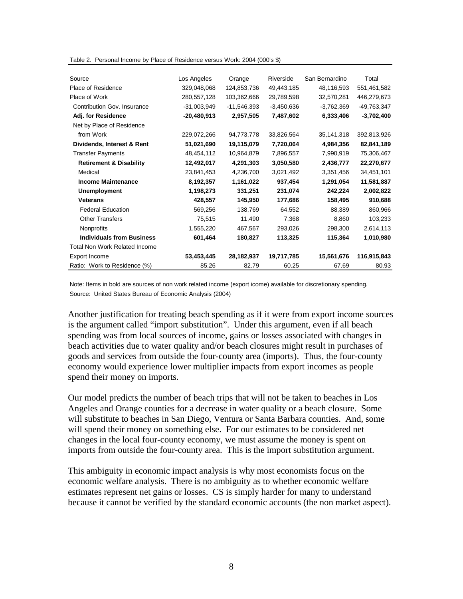|  | Table 2. Personal Income by Place of Residence versus Work: 2004 (000's \$) |  |
|--|-----------------------------------------------------------------------------|--|
|  |                                                                             |  |

| Source                               | Los Angeles   | Orange        | Riverside    | San Bernardino | Total        |
|--------------------------------------|---------------|---------------|--------------|----------------|--------------|
| Place of Residence                   | 329,048,068   | 124,853,736   | 49,443,185   | 48,116,593     | 551,461,582  |
| Place of Work                        | 280,557,128   | 103,362,666   | 29,789,598   | 32,570,281     | 446,279,673  |
| <b>Contribution Gov. Insurance</b>   | $-31,003,949$ | $-11,546,393$ | $-3,450,636$ | $-3,762,369$   | -49,763,347  |
| Adj. for Residence                   | $-20,480,913$ | 2,957,505     | 7,487,602    | 6,333,406      | $-3,702,400$ |
| Net by Place of Residence            |               |               |              |                |              |
| from Work                            | 229,072,266   | 94,773,778    | 33,826,564   | 35,141,318     | 392,813,926  |
| Dividends, Interest & Rent           | 51,021,690    | 19,115,079    | 7,720,064    | 4,984,356      | 82,841,189   |
| <b>Transfer Payments</b>             | 48,454,112    | 10,964,879    | 7,896,557    | 7,990,919      | 75,306,467   |
| <b>Retirement &amp; Disability</b>   | 12,492,017    | 4,291,303     | 3,050,580    | 2,436,777      | 22,270,677   |
| Medical                              | 23,841,453    | 4,236,700     | 3,021,492    | 3,351,456      | 34,451,101   |
| <b>Income Maintenance</b>            | 8,192,357     | 1,161,022     | 937,454      | 1,291,054      | 11,581,887   |
| <b>Unemployment</b>                  | 1,198,273     | 331,251       | 231,074      | 242,224        | 2,002,822    |
| <b>Veterans</b>                      | 428,557       | 145,950       | 177,686      | 158,495        | 910,688      |
| <b>Federal Education</b>             | 569,256       | 138,769       | 64,552       | 88,389         | 860,966      |
| <b>Other Transfers</b>               | 75,515        | 11,490        | 7,368        | 8,860          | 103,233      |
| Nonprofits                           | 1,555,220     | 467,567       | 293,026      | 298,300        | 2,614,113    |
| <b>Individuals from Business</b>     | 601,464       | 180,827       | 113,325      | 115,364        | 1,010,980    |
| <b>Total Non Work Related Income</b> |               |               |              |                |              |
| Export Income                        | 53,453,445    | 28,182,937    | 19,717,785   | 15,561,676     | 116,915,843  |
| Ratio: Work to Residence (%)         | 85.26         | 82.79         | 60.25        | 67.69          | 80.93        |

Note: Items in bold are sources of non work related income (export icome) available for discretionary spending. Source: United States Bureau of Economic Analysis (2004)

Another justification for treating beach spending as if it were from export income sources is the argument called "import substitution". Under this argument, even if all beach spending was from local sources of income, gains or losses associated with changes in beach activities due to water quality and/or beach closures might result in purchases of goods and services from outside the four-county area (imports). Thus, the four-county economy would experience lower multiplier impacts from export incomes as people spend their money on imports.

Our model predicts the number of beach trips that will not be taken to beaches in Los Angeles and Orange counties for a decrease in water quality or a beach closure. Some will substitute to beaches in San Diego, Ventura or Santa Barbara counties. And, some will spend their money on something else. For our estimates to be considered net changes in the local four-county economy, we must assume the money is spent on imports from outside the four-county area. This is the import substitution argument.

This ambiguity in economic impact analysis is why most economists focus on the economic welfare analysis. There is no ambiguity as to whether economic welfare estimates represent net gains or losses. CS is simply harder for many to understand because it cannot be verified by the standard economic accounts (the non market aspect).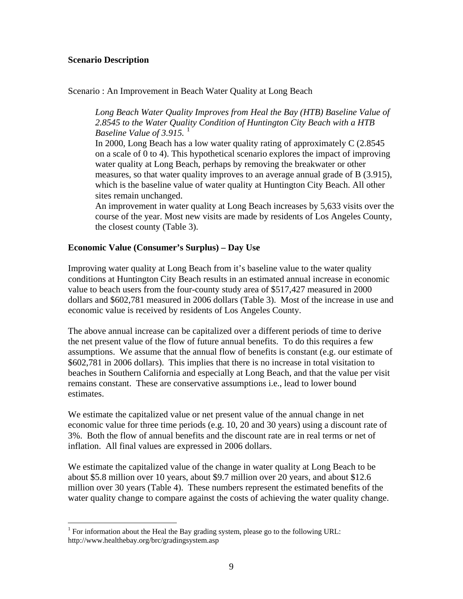## **Scenario Description**

 $\overline{a}$ 

Scenario : An Improvement in Beach Water Quality at Long Beach

*Long Beach Water Quality Improves from Heal the Bay (HTB) Baseline Value of 2.8545 to the Water Quality Condition of Huntington City Beach with a HTB Baseline Value of 3.915.* [1](#page-13-0)

In 2000, Long Beach has a low water quality rating of approximately C (2.8545 on a scale of 0 to 4). This hypothetical scenario explores the impact of improving water quality at Long Beach, perhaps by removing the breakwater or other measures, so that water quality improves to an average annual grade of B (3.915), which is the baseline value of water quality at Huntington City Beach. All other sites remain unchanged.

An improvement in water quality at Long Beach increases by 5,633 visits over the course of the year. Most new visits are made by residents of Los Angeles County, the closest county (Table 3).

## **Economic Value (Consumer's Surplus) – Day Use**

Improving water quality at Long Beach from it's baseline value to the water quality conditions at Huntington City Beach results in an estimated annual increase in economic value to beach users from the four-county study area of \$517,427 measured in 2000 dollars and \$602,781 measured in 2006 dollars (Table 3). Most of the increase in use and economic value is received by residents of Los Angeles County.

The above annual increase can be capitalized over a different periods of time to derive the net present value of the flow of future annual benefits. To do this requires a few assumptions. We assume that the annual flow of benefits is constant (e.g. our estimate of \$602,781 in 2006 dollars). This implies that there is no increase in total visitation to beaches in Southern California and especially at Long Beach, and that the value per visit remains constant. These are conservative assumptions i.e., lead to lower bound estimates.

We estimate the capitalized value or net present value of the annual change in net economic value for three time periods (e.g. 10, 20 and 30 years) using a discount rate of 3%. Both the flow of annual benefits and the discount rate are in real terms or net of inflation. All final values are expressed in 2006 dollars.

We estimate the capitalized value of the change in water quality at Long Beach to be about \$5.8 million over 10 years, about \$9.7 million over 20 years, and about \$12.6 million over 30 years (Table 4). These numbers represent the estimated benefits of the water quality change to compare against the costs of achieving the water quality change.

<span id="page-13-0"></span><sup>&</sup>lt;sup>1</sup> For information about the Heal the Bay grading system, please go to the following URL: http://www.healthebay.org/brc/gradingsystem.asp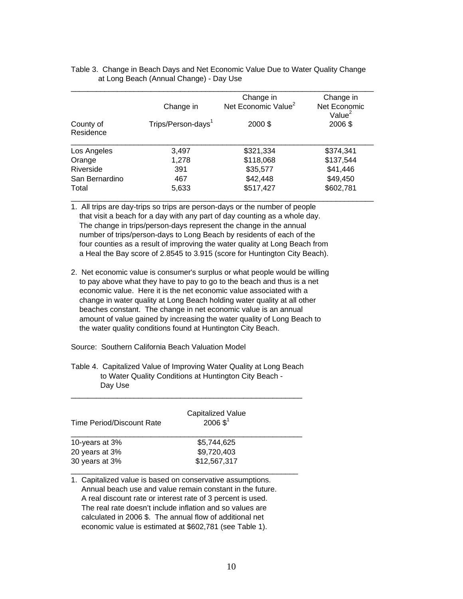|                        |                                | Change in                       | Change in                 |
|------------------------|--------------------------------|---------------------------------|---------------------------|
|                        | Change in                      | Net Economic Value <sup>2</sup> | Net Economic<br>Value $2$ |
| County of<br>Residence | Trips/Person-days <sup>1</sup> | 2000\$                          | 2006\$                    |
| Los Angeles            | 3,497                          | \$321,334                       | \$374,341                 |
| Orange                 | 1,278                          | \$118,068                       | \$137,544                 |
| Riverside              | 391                            | \$35,577                        | \$41,446                  |
| San Bernardino         | 467                            | \$42,448                        | \$49,450                  |
| Total                  | 5,633                          | \$517,427                       | \$602,781                 |

Table 3. Change in Beach Days and Net Economic Value Due to Water Quality Change at Long Beach (Annual Change) - Day Use

1. All trips are day-trips so trips are person-days or the number of people that visit a beach for a day with any part of day counting as a whole day. The change in trips/person-days represent the change in the annual number of trips/person-days to Long Beach by residents of each of the four counties as a result of improving the water quality at Long Beach from a Heal the Bay score of 2.8545 to 3.915 (score for Huntington City Beach).

- 2. Net economic value is consumer's surplus or what people would be willing to pay above what they have to pay to go to the beach and thus is a net economic value. Here it is the net economic value associated with a change in water quality at Long Beach holding water quality at all other beaches constant. The change in net economic value is an annual amount of value gained by increasing the water quality of Long Beach to the water quality conditions found at Huntington City Beach.
- Source: Southern California Beach Valuation Model
- Table 4. Capitalized Value of Improving Water Quality at Long Beach to Water Quality Conditions at Huntington City Beach - Day Use

\_\_\_\_\_\_\_\_\_\_\_\_\_\_\_\_\_\_\_\_\_\_\_\_\_\_\_\_\_\_\_\_\_\_\_\_\_\_\_\_\_\_\_\_\_\_\_\_\_\_\_\_\_\_\_

| Time Period/Discount Rate | Capitalized Value<br>$2006 \, \text{\$}^1$ |  |
|---------------------------|--------------------------------------------|--|
| 10-years at 3%            | \$5,744,625                                |  |
| 20 years at 3%            | \$9,720,403                                |  |
| 30 years at 3%            | \$12,567,317                               |  |

1. Capitalized value is based on conservative assumptions. Annual beach use and value remain constant in the future. A real discount rate or interest rate of 3 percent is used. The real rate doesn't include inflation and so values are calculated in 2006 \$. The annual flow of additional net economic value is estimated at \$602,781 (see Table 1).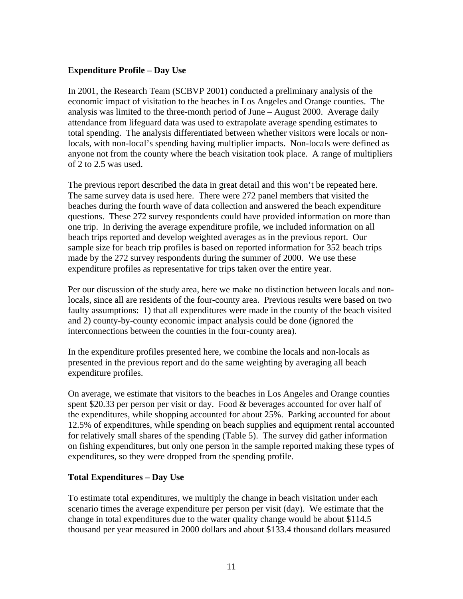## **Expenditure Profile – Day Use**

In 2001, the Research Team (SCBVP 2001) conducted a preliminary analysis of the economic impact of visitation to the beaches in Los Angeles and Orange counties. The analysis was limited to the three-month period of June – August 2000. Average daily attendance from lifeguard data was used to extrapolate average spending estimates to total spending. The analysis differentiated between whether visitors were locals or nonlocals, with non-local's spending having multiplier impacts. Non-locals were defined as anyone not from the county where the beach visitation took place. A range of multipliers of 2 to 2.5 was used.

The previous report described the data in great detail and this won't be repeated here. The same survey data is used here. There were 272 panel members that visited the beaches during the fourth wave of data collection and answered the beach expenditure questions. These 272 survey respondents could have provided information on more than one trip. In deriving the average expenditure profile, we included information on all beach trips reported and develop weighted averages as in the previous report. Our sample size for beach trip profiles is based on reported information for 352 beach trips made by the 272 survey respondents during the summer of 2000. We use these expenditure profiles as representative for trips taken over the entire year.

Per our discussion of the study area, here we make no distinction between locals and nonlocals, since all are residents of the four-county area. Previous results were based on two faulty assumptions: 1) that all expenditures were made in the county of the beach visited and 2) county-by-county economic impact analysis could be done (ignored the interconnections between the counties in the four-county area).

In the expenditure profiles presented here, we combine the locals and non-locals as presented in the previous report and do the same weighting by averaging all beach expenditure profiles.

On average, we estimate that visitors to the beaches in Los Angeles and Orange counties spent \$20.33 per person per visit or day. Food & beverages accounted for over half of the expenditures, while shopping accounted for about 25%. Parking accounted for about 12.5% of expenditures, while spending on beach supplies and equipment rental accounted for relatively small shares of the spending (Table 5). The survey did gather information on fishing expenditures, but only one person in the sample reported making these types of expenditures, so they were dropped from the spending profile.

## **Total Expenditures – Day Use**

To estimate total expenditures, we multiply the change in beach visitation under each scenario times the average expenditure per person per visit (day). We estimate that the change in total expenditures due to the water quality change would be about \$114.5 thousand per year measured in 2000 dollars and about \$133.4 thousand dollars measured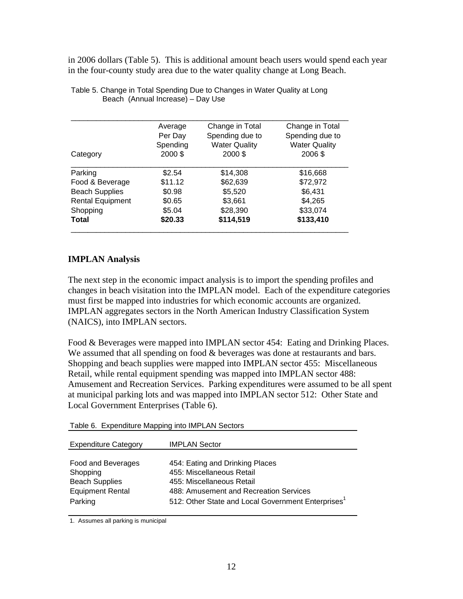in 2006 dollars (Table 5). This is additional amount beach users would spend each year in the four-county study area due to the water quality change at Long Beach.

|                         | Average  | Change in Total      | Change in Total      |
|-------------------------|----------|----------------------|----------------------|
|                         | Per Day  | Spending due to      | Spending due to      |
|                         | Spending | <b>Water Quality</b> | <b>Water Quality</b> |
| Category                | 2000 \$  | 2000\$               | 2006\$               |
| Parking                 | \$2.54   | \$14,308             | \$16,668             |
| Food & Beverage         | \$11.12  | \$62,639             | \$72,972             |
| <b>Beach Supplies</b>   | \$0.98   | \$5,520              | \$6,431              |
| <b>Rental Equipment</b> | \$0.65   | \$3,661              | \$4,265              |
| Shopping                | \$5.04   | \$28,390             | \$33,074             |
| Total                   | \$20.33  | \$114,519            | \$133,410            |

Table 5. Change in Total Spending Due to Changes in Water Quality at Long Beach (Annual Increase) – Day Use

## **IMPLAN Analysis**

The next step in the economic impact analysis is to import the spending profiles and changes in beach visitation into the IMPLAN model. Each of the expenditure categories must first be mapped into industries for which economic accounts are organized. IMPLAN aggregates sectors in the North American Industry Classification System (NAICS), into IMPLAN sectors.

Food & Beverages were mapped into IMPLAN sector 454: Eating and Drinking Places. We assumed that all spending on food & beverages was done at restaurants and bars. Shopping and beach supplies were mapped into IMPLAN sector 455: Miscellaneous Retail, while rental equipment spending was mapped into IMPLAN sector 488: Amusement and Recreation Services. Parking expenditures were assumed to be all spent at municipal parking lots and was mapped into IMPLAN sector 512: Other State and Local Government Enterprises (Table 6).

Table 6. Expenditure Mapping into IMPLAN Sectors

| <b>Expenditure Category</b> | <b>IMPLAN Sector</b>                                           |
|-----------------------------|----------------------------------------------------------------|
| Food and Beverages          | 454: Eating and Drinking Places                                |
| Shopping                    | 455: Miscellaneous Retail                                      |
| <b>Beach Supplies</b>       | 455: Miscellaneous Retail                                      |
| <b>Equipment Rental</b>     | 488: Amusement and Recreation Services                         |
| Parking                     | 512: Other State and Local Government Enterprises <sup>1</sup> |

1. Assumes all parking is municipal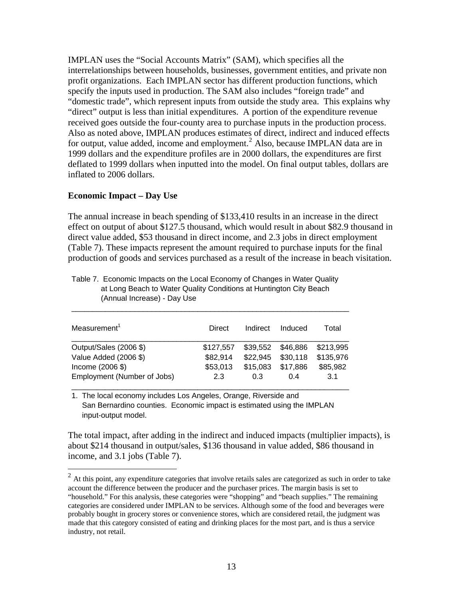IMPLAN uses the "Social Accounts Matrix" (SAM), which specifies all the interrelationships between households, businesses, government entities, and private non profit organizations. Each IMPLAN sector has different production functions, which specify the inputs used in production. The SAM also includes "foreign trade" and "domestic trade", which represent inputs from outside the study area. This explains why "direct" output is less than initial expenditures. A portion of the expenditure revenue received goes outside the four-county area to purchase inputs in the production process. Also as noted above, IMPLAN produces estimates of direct, indirect and induced effects for output, value added, income and employment.<sup>[2](#page-17-0)</sup> Also, because IMPLAN data are in 1999 dollars and the expenditure profiles are in 2000 dollars, the expenditures are first deflated to 1999 dollars when inputted into the model. On final output tables, dollars are inflated to 2006 dollars.

## **Economic Impact – Day Use**

 $\overline{a}$ 

The annual increase in beach spending of \$133,410 results in an increase in the direct effect on output of about \$127.5 thousand, which would result in about \$82.9 thousand in direct value added, \$53 thousand in direct income, and 2.3 jobs in direct employment (Table 7). These impacts represent the amount required to purchase inputs for the final production of goods and services purchased as a result of the increase in beach visitation.

| Measurement <sup>1</sup>    | Direct    | Indirect | Induced  | Total     |
|-----------------------------|-----------|----------|----------|-----------|
| Output/Sales (2006 \$)      | \$127.557 | \$39,552 | \$46,886 | \$213,995 |
| Value Added (2006 \$)       | \$82,914  | \$22,945 | \$30,118 | \$135,976 |
| Income (2006 \$)            | \$53,013  | \$15,083 | \$17,886 | \$85,982  |
| Employment (Number of Jobs) | 2.3       | 0.3      | 0.4      | 3.1       |

\_\_\_\_\_\_\_\_\_\_\_\_\_\_\_\_\_\_\_\_\_\_\_\_\_\_\_\_\_\_\_\_\_\_\_\_\_\_\_\_\_\_\_\_\_\_\_\_\_\_\_\_\_\_\_\_\_\_\_\_\_\_\_\_\_\_

Table 7. Economic Impacts on the Local Economy of Changes in Water Quality at Long Beach to Water Quality Conditions at Huntington City Beach (Annual Increase) - Day Use

\_\_\_\_\_\_\_\_\_\_\_\_\_\_\_\_\_\_\_\_\_\_\_\_\_\_\_\_\_\_\_\_\_\_\_\_\_\_\_\_\_\_\_\_\_\_\_\_\_\_\_\_\_\_\_\_\_\_\_\_\_\_\_\_\_\_

1. The local economy includes Los Angeles, Orange, Riverside and San Bernardino counties. Economic impact is estimated using the IMPLAN input-output model.

The total impact, after adding in the indirect and induced impacts (multiplier impacts), is about \$214 thousand in output/sales, \$136 thousand in value added, \$86 thousand in income, and 3.1 jobs (Table 7).

<span id="page-17-0"></span> $2<sup>2</sup>$  At this point, any expenditure categories that involve retails sales are categorized as such in order to take account the difference between the producer and the purchaser prices. The margin basis is set to "household." For this analysis, these categories were "shopping" and "beach supplies." The remaining categories are considered under IMPLAN to be services. Although some of the food and beverages were probably bought in grocery stores or convenience stores, which are considered retail, the judgment was made that this category consisted of eating and drinking places for the most part, and is thus a service industry, not retail.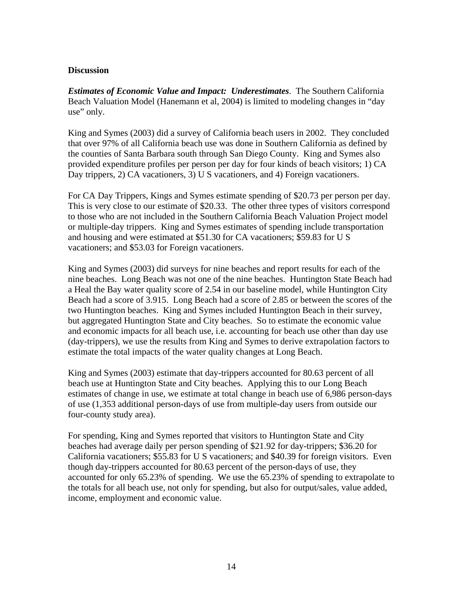## **Discussion**

*Estimates of Economic Value and Impact: Underestimates*. The Southern California Beach Valuation Model (Hanemann et al, 2004) is limited to modeling changes in "day use" only.

King and Symes (2003) did a survey of California beach users in 2002. They concluded that over 97% of all California beach use was done in Southern California as defined by the counties of Santa Barbara south through San Diego County. King and Symes also provided expenditure profiles per person per day for four kinds of beach visitors; 1) CA Day trippers, 2) CA vacationers, 3) U S vacationers, and 4) Foreign vacationers.

For CA Day Trippers, Kings and Symes estimate spending of \$20.73 per person per day. This is very close to our estimate of \$20.33. The other three types of visitors correspond to those who are not included in the Southern California Beach Valuation Project model or multiple-day trippers. King and Symes estimates of spending include transportation and housing and were estimated at \$51.30 for CA vacationers; \$59.83 for U S vacationers; and \$53.03 for Foreign vacationers.

King and Symes (2003) did surveys for nine beaches and report results for each of the nine beaches. Long Beach was not one of the nine beaches. Huntington State Beach had a Heal the Bay water quality score of 2.54 in our baseline model, while Huntington City Beach had a score of 3.915. Long Beach had a score of 2.85 or between the scores of the two Huntington beaches. King and Symes included Huntington Beach in their survey, but aggregated Huntington State and City beaches. So to estimate the economic value and economic impacts for all beach use, i.e. accounting for beach use other than day use (day-trippers), we use the results from King and Symes to derive extrapolation factors to estimate the total impacts of the water quality changes at Long Beach.

King and Symes (2003) estimate that day-trippers accounted for 80.63 percent of all beach use at Huntington State and City beaches. Applying this to our Long Beach estimates of change in use, we estimate at total change in beach use of 6,986 person-days of use (1,353 additional person-days of use from multiple-day users from outside our four-county study area).

For spending, King and Symes reported that visitors to Huntington State and City beaches had average daily per person spending of \$21.92 for day-trippers; \$36.20 for California vacationers; \$55.83 for U S vacationers; and \$40.39 for foreign visitors. Even though day-trippers accounted for 80.63 percent of the person-days of use, they accounted for only 65.23% of spending. We use the 65.23% of spending to extrapolate to the totals for all beach use, not only for spending, but also for output/sales, value added, income, employment and economic value.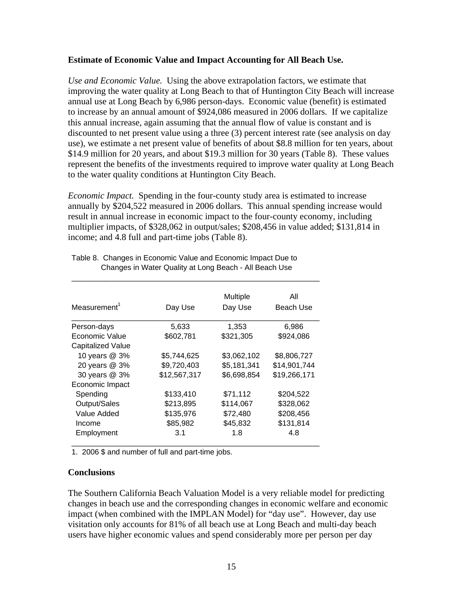## **Estimate of Economic Value and Impact Accounting for All Beach Use.**

*Use and Economic Value.* Using the above extrapolation factors, we estimate that improving the water quality at Long Beach to that of Huntington City Beach will increase annual use at Long Beach by 6,986 person-days. Economic value (benefit) is estimated to increase by an annual amount of \$924,086 measured in 2006 dollars. If we capitalize this annual increase, again assuming that the annual flow of value is constant and is discounted to net present value using a three (3) percent interest rate (see analysis on day use), we estimate a net present value of benefits of about \$8.8 million for ten years, about \$14.9 million for 20 years, and about \$19.3 million for 30 years (Table 8). These values represent the benefits of the investments required to improve water quality at Long Beach to the water quality conditions at Huntington City Beach.

*Economic Impact.* Spending in the four-county study area is estimated to increase annually by \$204,522 measured in 2006 dollars. This annual spending increase would result in annual increase in economic impact to the four-county economy, including multiplier impacts, of \$328,062 in output/sales; \$208,456 in value added; \$131,814 in income; and 4.8 full and part-time jobs (Table 8).

| Measurement <sup>1</sup> | Day Use      | Multiple<br>Day Use | All<br>Beach Use |
|--------------------------|--------------|---------------------|------------------|
| Person-days              | 5,633        | 1,353               | 6,986            |
| Economic Value           | \$602,781    | \$321,305           | \$924,086        |
| Capitalized Value        |              |                     |                  |
| 10 years @ 3%            | \$5,744,625  | \$3,062,102         | \$8,806,727      |
| 20 years @ 3%            | \$9,720,403  | \$5,181,341         | \$14,901,744     |
| 30 years @ 3%            | \$12,567,317 | \$6,698,854         | \$19,266,171     |
| Economic Impact          |              |                     |                  |
| Spending                 | \$133,410    | \$71,112            | \$204,522        |
| Output/Sales             | \$213,895    | \$114,067           | \$328,062        |
| Value Added              | \$135,976    | \$72,480            | \$208,456        |
| Income                   | \$85,982     | \$45,832            | \$131,814        |
| Employment               | 3.1          | 1.8                 | 4.8              |

Table 8. Changes in Economic Value and Economic Impact Due to Changes in Water Quality at Long Beach - All Beach Use

1. 2006 \$ and number of full and part-time jobs.

## **Conclusions**

The Southern California Beach Valuation Model is a very reliable model for predicting changes in beach use and the corresponding changes in economic welfare and economic impact (when combined with the IMPLAN Model) for "day use". However, day use visitation only accounts for 81% of all beach use at Long Beach and multi-day beach users have higher economic values and spend considerably more per person per day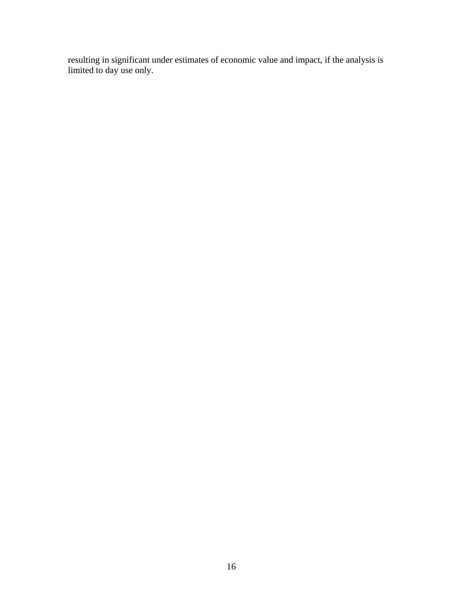resulting in significant under estimates of economic value and impact, if the analysis is limited to day use only.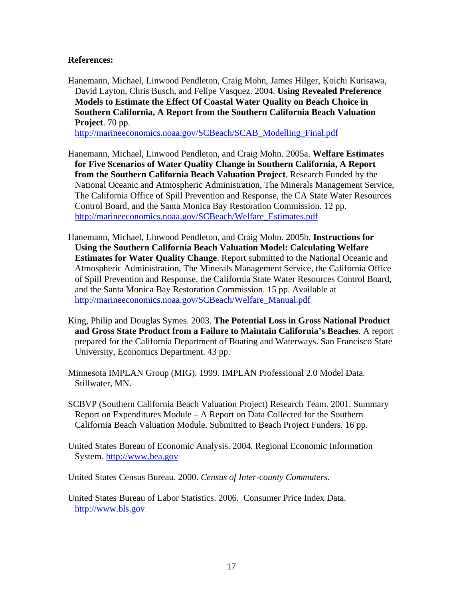## **References:**

Hanemann, Michael, Linwood Pendleton, Craig Mohn, James Hilger, Koichi Kurisawa, David Layton, Chris Busch, and Felipe Vasquez. 2004. **Using Revealed Preference Models to Estimate the Effect Of Coastal Water Quality on Beach Choice in Southern California, A Report from the Southern California Beach Valuation Project**. 70 pp.

[http://marineeconomics.noaa.gov/SCBeach/SCAB\\_Modelling\\_Final.pdf](http://marineeconomics.noaa.gov/SCBeach/SCAB_Modelling_Final.pdf)

- Hanemann, Michael, Linwood Pendleton, and Craig Mohn. 2005a. **Welfare Estimates for Five Scenarios of Water Quality Change in Southern California, A Report from the Southern California Beach Valuation Project**. Research Funded by the National Oceanic and Atmospheric Administration, The Minerals Management Service, The California Office of Spill Prevention and Response, the CA State Water Resources Control Board, and the Santa Monica Bay Restoration Commission. 12 pp. [http://marineeconomics.noaa.gov/SCBeach/Welfare\\_Estimates.pdf](http://marineeconomics.noaa.gov/SCBeach/Welfare_Estimates.pdf)
- Hanemann, Michael, Linwood Pendleton, and Craig Mohn. 2005b. **Instructions for Using the Southern California Beach Valuation Model: Calculating Welfare Estimates for Water Quality Change**. Report submitted to the National Oceanic and Atmospheric Administration, The Minerals Management Service, the California Office of Spill Prevention and Response, the California State Water Resources Control Board, and the Santa Monica Bay Restoration Commission. 15 pp. Available at [http://marineeconomics.noaa.gov/SCBeach/Welfare\\_Manual.pdf](http://marineeconomics.noaa.gov/SCBeach/Welfare_Manual.pdf)
- King, Philip and Douglas Symes. 2003. **The Potential Loss in Gross National Product and Gross State Product from a Failure to Maintain California's Beaches**. A report prepared for the California Department of Boating and Waterways. San Francisco State University, Economics Department. 43 pp.
- Minnesota IMPLAN Group (MIG). 1999. IMPLAN Professional 2.0 Model Data. Stillwater, MN.
- SCBVP (Southern California Beach Valuation Project) Research Team. 2001. Summary Report on Expenditures Module – A Report on Data Collected for the Southern California Beach Valuation Module. Submitted to Beach Project Funders. 16 pp.
- United States Bureau of Economic Analysis. 2004. Regional Economic Information System. [http://www.bea.gov](http://www.bea.gov/)

United States Census Bureau. 2000. *Census of Inter-county Commuters.* 

United States Bureau of Labor Statistics. 2006. Consumer Price Index Data. [http://www.bls.gov](http://www.bls.gov/)